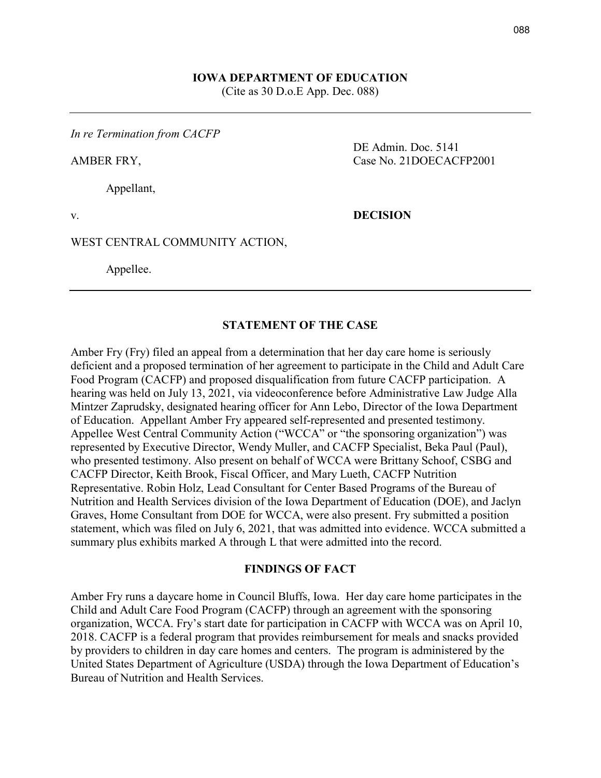### **IOWA DEPARTMENT OF EDUCATION** (Cite as 30 D.o.E App. Dec. 088)

*In re Termination from CACFP*

Appellant,

AMBER FRY, Case No. 21DOECACFP2001

DE Admin. Doc. 5141

v. **DECISION**

#### WEST CENTRAL COMMUNITY ACTION,

Appellee.

#### **STATEMENT OF THE CASE**

Amber Fry (Fry) filed an appeal from a determination that her day care home is seriously deficient and a proposed termination of her agreement to participate in the Child and Adult Care Food Program (CACFP) and proposed disqualification from future CACFP participation. A hearing was held on July 13, 2021, via videoconference before Administrative Law Judge Alla Mintzer Zaprudsky, designated hearing officer for Ann Lebo, Director of the Iowa Department of Education. Appellant Amber Fry appeared self-represented and presented testimony. Appellee West Central Community Action ("WCCA" or "the sponsoring organization") was represented by Executive Director, Wendy Muller, and CACFP Specialist, Beka Paul (Paul), who presented testimony. Also present on behalf of WCCA were Brittany Schoof, CSBG and CACFP Director, Keith Brook, Fiscal Officer, and Mary Lueth, CACFP Nutrition Representative. Robin Holz, Lead Consultant for Center Based Programs of the Bureau of Nutrition and Health Services division of the Iowa Department of Education (DOE), and Jaclyn Graves, Home Consultant from DOE for WCCA, were also present. Fry submitted a position statement, which was filed on July 6, 2021, that was admitted into evidence. WCCA submitted a summary plus exhibits marked A through L that were admitted into the record.

#### **FINDINGS OF FACT**

Amber Fry runs a daycare home in Council Bluffs, Iowa. Her day care home participates in the Child and Adult Care Food Program (CACFP) through an agreement with the sponsoring organization, WCCA. Fry's start date for participation in CACFP with WCCA was on April 10, 2018. CACFP is a federal program that provides reimbursement for meals and snacks provided by providers to children in day care homes and centers. The program is administered by the United States Department of Agriculture (USDA) through the Iowa Department of Education's Bureau of Nutrition and Health Services.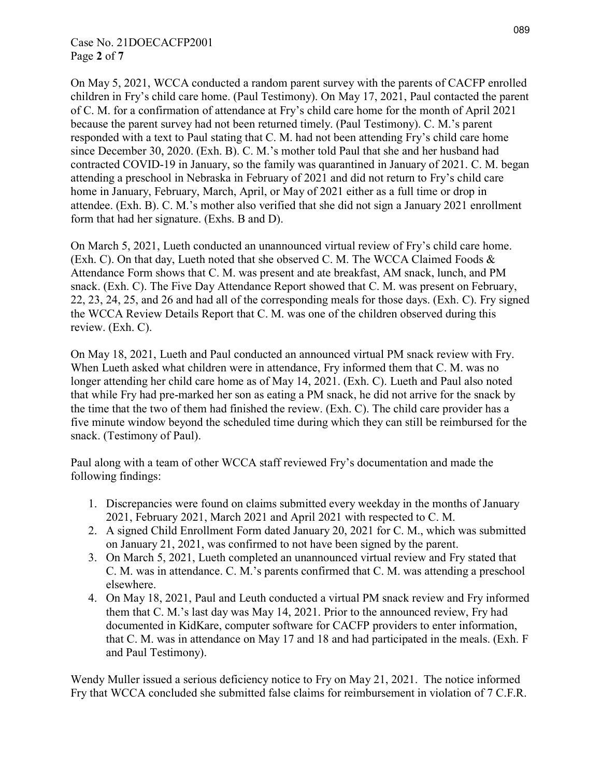## Case No. 21DOECACFP2001 Page **2** of **7**

On May 5, 2021, WCCA conducted a random parent survey with the parents of CACFP enrolled children in Fry's child care home. (Paul Testimony). On May 17, 2021, Paul contacted the parent of C. M. for a confirmation of attendance at Fry's child care home for the month of April 2021 because the parent survey had not been returned timely. (Paul Testimony). C. M.'s parent responded with a text to Paul stating that C. M. had not been attending Fry's child care home since December 30, 2020. (Exh. B). C. M.'s mother told Paul that she and her husband had contracted COVID-19 in January, so the family was quarantined in January of 2021. C. M. began attending a preschool in Nebraska in February of 2021 and did not return to Fry's child care home in January, February, March, April, or May of 2021 either as a full time or drop in attendee. (Exh. B). C. M.'s mother also verified that she did not sign a January 2021 enrollment form that had her signature. (Exhs. B and D).

On March 5, 2021, Lueth conducted an unannounced virtual review of Fry's child care home. (Exh. C). On that day, Lueth noted that she observed C. M. The WCCA Claimed Foods & Attendance Form shows that C. M. was present and ate breakfast, AM snack, lunch, and PM snack. (Exh. C). The Five Day Attendance Report showed that C. M. was present on February, 22, 23, 24, 25, and 26 and had all of the corresponding meals for those days. (Exh. C). Fry signed the WCCA Review Details Report that C. M. was one of the children observed during this review. (Exh. C).

On May 18, 2021, Lueth and Paul conducted an announced virtual PM snack review with Fry. When Lueth asked what children were in attendance, Fry informed them that C. M. was no longer attending her child care home as of May 14, 2021. (Exh. C). Lueth and Paul also noted that while Fry had pre-marked her son as eating a PM snack, he did not arrive for the snack by the time that the two of them had finished the review. (Exh. C). The child care provider has a five minute window beyond the scheduled time during which they can still be reimbursed for the snack. (Testimony of Paul).

Paul along with a team of other WCCA staff reviewed Fry's documentation and made the following findings:

- 1. Discrepancies were found on claims submitted every weekday in the months of January 2021, February 2021, March 2021 and April 2021 with respected to C. M.
- 2. A signed Child Enrollment Form dated January 20, 2021 for C. M., which was submitted on January 21, 2021, was confirmed to not have been signed by the parent.
- 3. On March 5, 2021, Lueth completed an unannounced virtual review and Fry stated that C. M. was in attendance. C. M.'s parents confirmed that C. M. was attending a preschool elsewhere.
- 4. On May 18, 2021, Paul and Leuth conducted a virtual PM snack review and Fry informed them that C. M.'s last day was May 14, 2021. Prior to the announced review, Fry had documented in KidKare, computer software for CACFP providers to enter information, that C. M. was in attendance on May 17 and 18 and had participated in the meals. (Exh. F and Paul Testimony).

Wendy Muller issued a serious deficiency notice to Fry on May 21, 2021. The notice informed Fry that WCCA concluded she submitted false claims for reimbursement in violation of 7 C.F.R.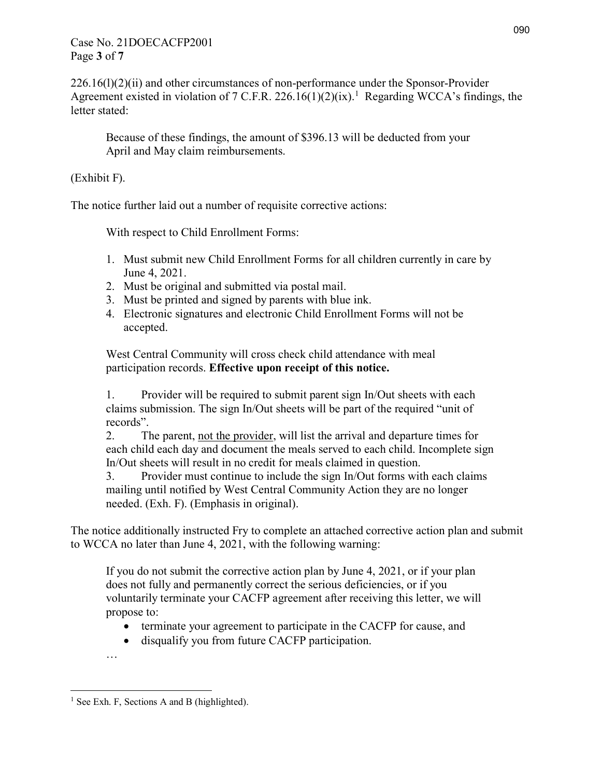## Case No. 21DOECACFP2001 Page **3** of **7**

226.16(l)(2)(ii) and other circumstances of non-performance under the Sponsor-Provider Agreement existed in violation of 7 C.F.R. 226.[1](#page-2-0)6(1)(2)(ix).<sup>1</sup> Regarding WCCA's findings, the letter stated:

Because of these findings, the amount of \$396.13 will be deducted from your April and May claim reimbursements.

(Exhibit F).

The notice further laid out a number of requisite corrective actions:

With respect to Child Enrollment Forms:

- 1. Must submit new Child Enrollment Forms for all children currently in care by June 4, 2021.
- 2. Must be original and submitted via postal mail.
- 3. Must be printed and signed by parents with blue ink.
- 4. Electronic signatures and electronic Child Enrollment Forms will not be accepted.

West Central Community will cross check child attendance with meal participation records. **Effective upon receipt of this notice.** 

1. Provider will be required to submit parent sign In/Out sheets with each claims submission. The sign In/Out sheets will be part of the required "unit of records".

2. The parent, not the provider, will list the arrival and departure times for each child each day and document the meals served to each child. Incomplete sign In/Out sheets will result in no credit for meals claimed in question.

3. Provider must continue to include the sign In/Out forms with each claims mailing until notified by West Central Community Action they are no longer needed. (Exh. F). (Emphasis in original).

The notice additionally instructed Fry to complete an attached corrective action plan and submit to WCCA no later than June 4, 2021, with the following warning:

If you do not submit the corrective action plan by June 4, 2021, or if your plan does not fully and permanently correct the serious deficiencies, or if you voluntarily terminate your CACFP agreement after receiving this letter, we will propose to:

- terminate your agreement to participate in the CACFP for cause, and
- disqualify you from future CACFP participation.

…

<span id="page-2-0"></span> $\overline{a}$ <sup>1</sup> See Exh. F, Sections A and B (highlighted).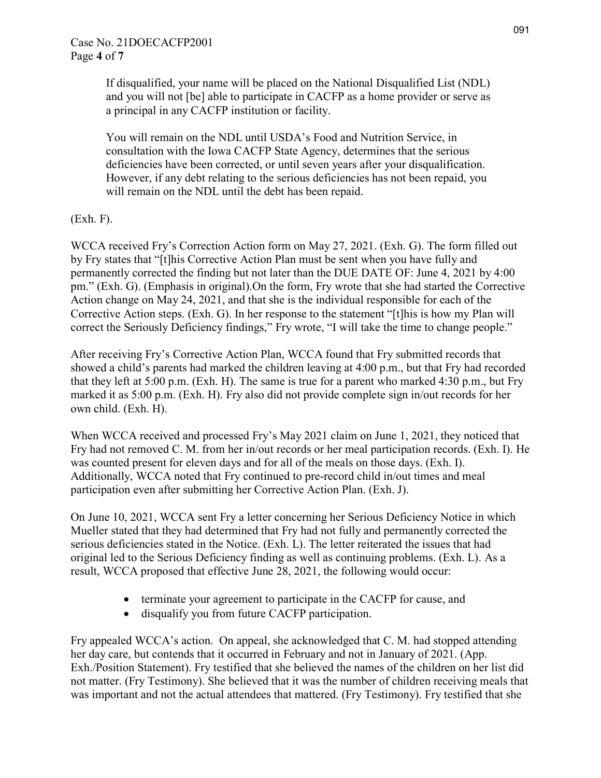If disqualified, your name will be placed on the National Disqualified List (NDL) and you will not [be] able to participate in CACFP as a home provider or serve as a principal in any CACFP institution or facility.

You will remain on the NDL until USDA's Food and Nutrition Service, in consultation with the Iowa CACFP State Agency, determines that the serious deficiencies have been corrected, or until seven years after your disqualification. However, if any debt relating to the serious deficiencies has not been repaid, you will remain on the NDL until the debt has been repaid.

(Exh. F).

WCCA received Fry's Correction Action form on May 27, 2021. (Exh. G). The form filled out by Fry states that "[t]his Corrective Action Plan must be sent when you have fully and permanently corrected the finding but not later than the DUE DATE OF: June 4, 2021 by 4:00 pm." (Exh. G). (Emphasis in original).On the form, Fry wrote that she had started the Corrective Action change on May 24, 2021, and that she is the individual responsible for each of the Corrective Action steps. (Exh. G). In her response to the statement "[t]his is how my Plan will correct the Seriously Deficiency findings," Fry wrote, "I will take the time to change people."

After receiving Fry's Corrective Action Plan, WCCA found that Fry submitted records that showed a child's parents had marked the children leaving at 4:00 p.m., but that Fry had recorded that they left at 5:00 p.m. (Exh. H). The same is true for a parent who marked 4:30 p.m., but Fry marked it as 5:00 p.m. (Exh. H). Fry also did not provide complete sign in/out records for her own child. (Exh. H).

When WCCA received and processed Fry's May 2021 claim on June 1, 2021, they noticed that Fry had not removed C. M. from her in/out records or her meal participation records. (Exh. I). He was counted present for eleven days and for all of the meals on those days. (Exh. I). Additionally, WCCA noted that Fry continued to pre-record child in/out times and meal participation even after submitting her Corrective Action Plan. (Exh. J).

On June 10, 2021, WCCA sent Fry a letter concerning her Serious Deficiency Notice in which Mueller stated that they had determined that Fry had not fully and permanently corrected the serious deficiencies stated in the Notice. (Exh. L). The letter reiterated the issues that had original led to the Serious Deficiency finding as well as continuing problems. (Exh. L). As a result, WCCA proposed that effective June 28, 2021, the following would occur:

- terminate your agreement to participate in the CACFP for cause, and
- disqualify you from future CACFP participation.

Fry appealed WCCA's action. On appeal, she acknowledged that C. M. had stopped attending her day care, but contends that it occurred in February and not in January of 2021. (App. Exh./Position Statement). Fry testified that she believed the names of the children on her list did not matter. (Fry Testimony). She believed that it was the number of children receiving meals that was important and not the actual attendees that mattered. (Fry Testimony). Fry testified that she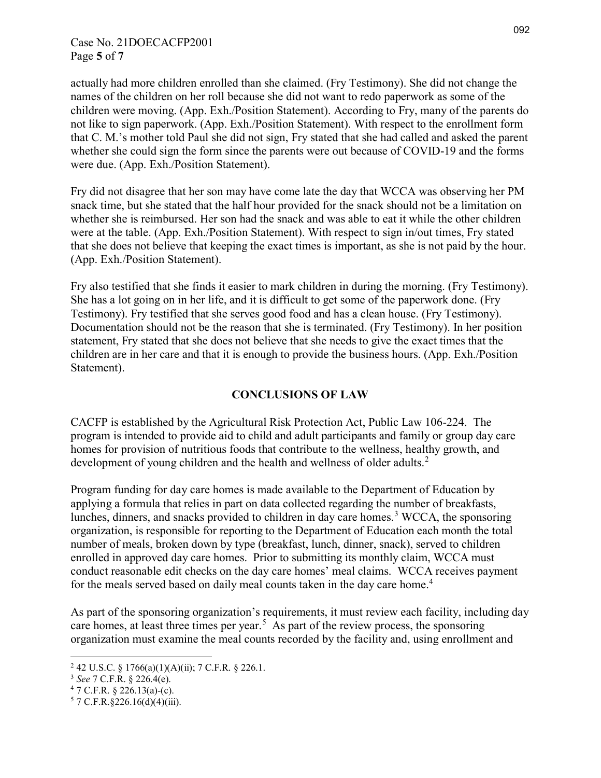## Case No. 21DOECACFP2001 Page **5** of **7**

actually had more children enrolled than she claimed. (Fry Testimony). She did not change the names of the children on her roll because she did not want to redo paperwork as some of the children were moving. (App. Exh./Position Statement). According to Fry, many of the parents do not like to sign paperwork. (App. Exh./Position Statement). With respect to the enrollment form that C. M.'s mother told Paul she did not sign, Fry stated that she had called and asked the parent whether she could sign the form since the parents were out because of COVID-19 and the forms were due. (App. Exh./Position Statement).

Fry did not disagree that her son may have come late the day that WCCA was observing her PM snack time, but she stated that the half hour provided for the snack should not be a limitation on whether she is reimbursed. Her son had the snack and was able to eat it while the other children were at the table. (App. Exh./Position Statement). With respect to sign in/out times, Fry stated that she does not believe that keeping the exact times is important, as she is not paid by the hour. (App. Exh./Position Statement).

Fry also testified that she finds it easier to mark children in during the morning. (Fry Testimony). She has a lot going on in her life, and it is difficult to get some of the paperwork done. (Fry Testimony). Fry testified that she serves good food and has a clean house. (Fry Testimony). Documentation should not be the reason that she is terminated. (Fry Testimony). In her position statement, Fry stated that she does not believe that she needs to give the exact times that the children are in her care and that it is enough to provide the business hours. (App. Exh./Position Statement).

# **CONCLUSIONS OF LAW**

CACFP is established by the Agricultural Risk Protection Act, Public Law 106-224. The program is intended to provide aid to child and adult participants and family or group day care homes for provision of nutritious foods that contribute to the wellness, healthy growth, and development of young children and the health and wellness of older adults.<sup>[2](#page-4-0)</sup>

Program funding for day care homes is made available to the Department of Education by applying a formula that relies in part on data collected regarding the number of breakfasts, lunches, dinners, and snacks provided to children in day care homes.<sup>[3](#page-4-1)</sup> WCCA, the sponsoring organization, is responsible for reporting to the Department of Education each month the total number of meals, broken down by type (breakfast, lunch, dinner, snack), served to children enrolled in approved day care homes. Prior to submitting its monthly claim, WCCA must conduct reasonable edit checks on the day care homes' meal claims. WCCA receives payment for the meals served based on daily meal counts taken in the day care home.<sup>[4](#page-4-2)</sup>

As part of the sponsoring organization's requirements, it must review each facility, including day care homes, at least three times per year.<sup>[5](#page-4-3)</sup> As part of the review process, the sponsoring organization must examine the meal counts recorded by the facility and, using enrollment and

 $\overline{a}$ 

<span id="page-4-0"></span><sup>&</sup>lt;sup>2</sup> 42 U.S.C. § 1766(a)(1)(A)(ii); 7 C.F.R. § 226.1.

<span id="page-4-1"></span><sup>&</sup>lt;sup>3</sup> *See* 7 C.F.R. § 226.4(e).<br><sup>4</sup> 7 C.F.R. § 226.13(a)-(c).

<span id="page-4-2"></span>

<span id="page-4-3"></span> $5$  7 C.F.R. § 226.16(d)(4)(iii).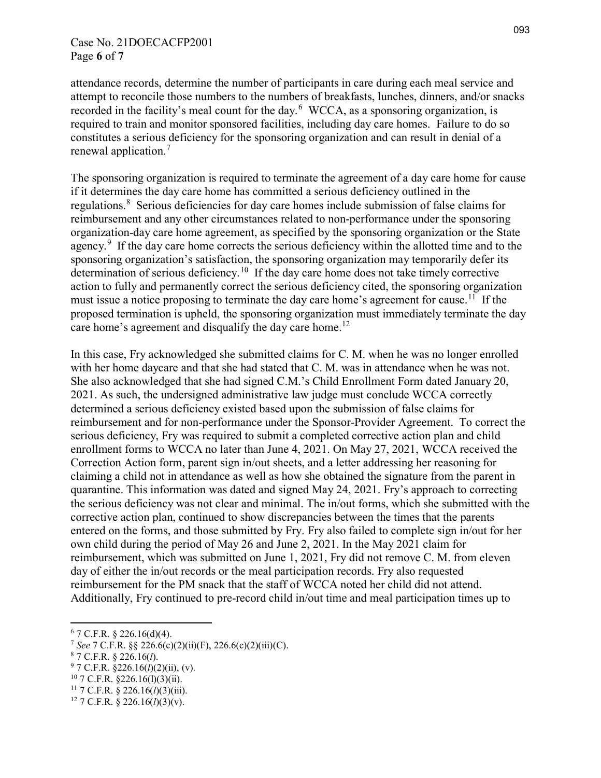attendance records, determine the number of participants in care during each meal service and attempt to reconcile those numbers to the numbers of breakfasts, lunches, dinners, and/or snacks recorded in the facility's meal count for the day.<sup>[6](#page-5-0)</sup> WCCA, as a sponsoring organization, is required to train and monitor sponsored facilities, including day care homes. Failure to do so constitutes a serious deficiency for the sponsoring organization and can result in denial of a renewal application.[7](#page-5-1)

The sponsoring organization is required to terminate the agreement of a day care home for cause if it determines the day care home has committed a serious deficiency outlined in the regulations.<sup>[8](#page-5-2)</sup> Serious deficiencies for day care homes include submission of false claims for reimbursement and any other circumstances related to non-performance under the sponsoring organization-day care home agreement, as specified by the sponsoring organization or the State agency.<sup>[9](#page-5-3)</sup> If the day care home corrects the serious deficiency within the allotted time and to the sponsoring organization's satisfaction, the sponsoring organization may temporarily defer its determination of serious deficiency.<sup>[10](#page-5-4)</sup> If the day care home does not take timely corrective action to fully and permanently correct the serious deficiency cited, the sponsoring organization must issue a notice proposing to terminate the day care home's agreement for cause.<sup>[11](#page-5-5)</sup> If the proposed termination is upheld, the sponsoring organization must immediately terminate the day care home's agreement and disqualify the day care home.<sup>[12](#page-5-6)</sup>

In this case, Fry acknowledged she submitted claims for C. M. when he was no longer enrolled with her home daycare and that she had stated that C. M. was in attendance when he was not. She also acknowledged that she had signed C.M.'s Child Enrollment Form dated January 20, 2021. As such, the undersigned administrative law judge must conclude WCCA correctly determined a serious deficiency existed based upon the submission of false claims for reimbursement and for non-performance under the Sponsor-Provider Agreement. To correct the serious deficiency, Fry was required to submit a completed corrective action plan and child enrollment forms to WCCA no later than June 4, 2021. On May 27, 2021, WCCA received the Correction Action form, parent sign in/out sheets, and a letter addressing her reasoning for claiming a child not in attendance as well as how she obtained the signature from the parent in quarantine. This information was dated and signed May 24, 2021. Fry's approach to correcting the serious deficiency was not clear and minimal. The in/out forms, which she submitted with the corrective action plan, continued to show discrepancies between the times that the parents entered on the forms, and those submitted by Fry. Fry also failed to complete sign in/out for her own child during the period of May 26 and June 2, 2021. In the May 2021 claim for reimbursement, which was submitted on June 1, 2021, Fry did not remove C. M. from eleven day of either the in/out records or the meal participation records. Fry also requested reimbursement for the PM snack that the staff of WCCA noted her child did not attend. Additionally, Fry continued to pre-record child in/out time and meal participation times up to

 $\overline{a}$  $6$  7 C.F.R. § 226.16(d)(4).

<span id="page-5-1"></span><span id="page-5-0"></span><sup>7</sup> *See* 7 C.F.R. §§ 226.6(c)(2)(ii)(F), 226.6(c)(2)(iii)(C).

<span id="page-5-2"></span><sup>8</sup> 7 C.F.R. § 226.16(*l*).

<span id="page-5-3"></span><sup>9</sup> 7 C.F.R. §226.16(*l*)(2)(ii), (v).

<span id="page-5-4"></span> $10$  7 C.F.R. §226.16(1)(3)(ii).

<span id="page-5-5"></span><sup>11</sup> 7 C.F.R. § 226.16(*l*)(3)(iii).

<span id="page-5-6"></span><sup>12</sup> 7 C.F.R. § 226.16(*l*)(3)(v).